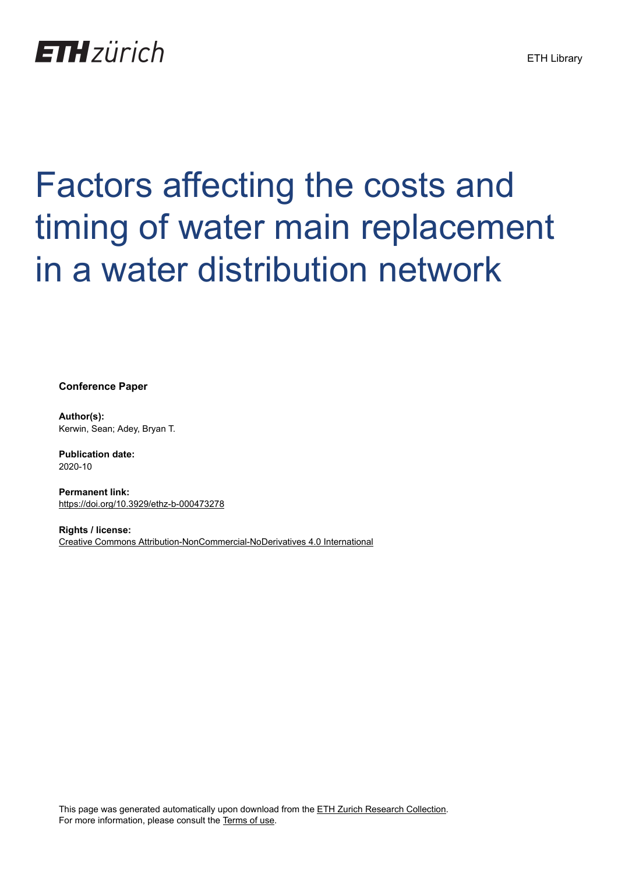## **ETH**zürich

# Factors affecting the costs and timing of water main replacement in a water distribution network

**Conference Paper**

**Author(s):** Kerwin, Sean; Adey, Bryan T.

**Publication date:** 2020-10

**Permanent link:** <https://doi.org/10.3929/ethz-b-000473278>

**Rights / license:** [Creative Commons Attribution-NonCommercial-NoDerivatives 4.0 International](http://creativecommons.org/licenses/by-nc-nd/4.0/)

This page was generated automatically upon download from the [ETH Zurich Research Collection.](https://www.research-collection.ethz.ch) For more information, please consult the [Terms of use](https://www.research-collection.ethz.ch/terms-of-use).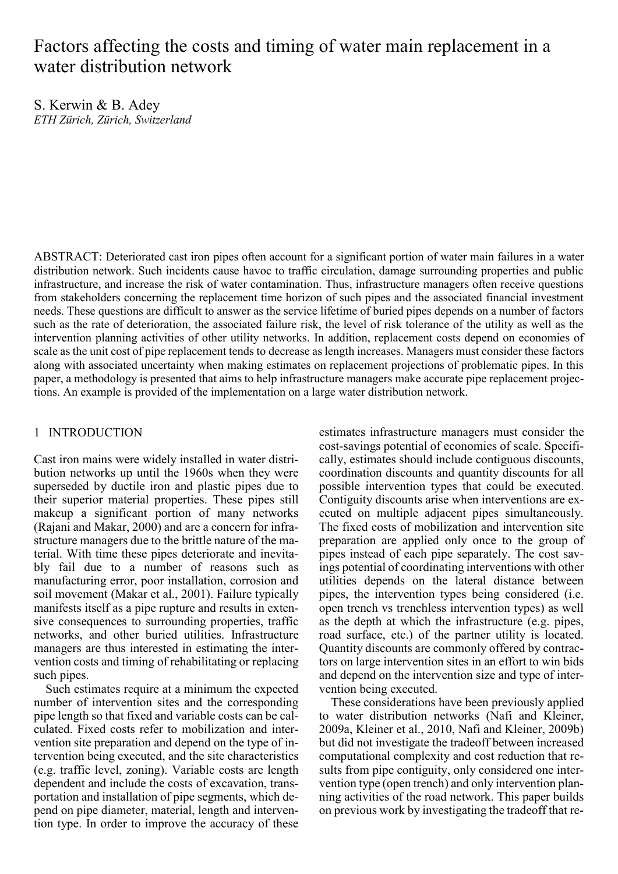### Factors affecting the costs and timing of water main replacement in a water distribution network

S. Kerwin & B. Adey *ETH Zürich, Zürich, Switzerland* 

ABSTRACT: Deteriorated cast iron pipes often account for a significant portion of water main failures in a water distribution network. Such incidents cause havoc to traffic circulation, damage surrounding properties and public infrastructure, and increase the risk of water contamination. Thus, infrastructure managers often receive questions from stakeholders concerning the replacement time horizon of such pipes and the associated financial investment needs. These questions are difficult to answer as the service lifetime of buried pipes depends on a number of factors such as the rate of deterioration, the associated failure risk, the level of risk tolerance of the utility as well as the intervention planning activities of other utility networks. In addition, replacement costs depend on economies of scale as the unit cost of pipe replacement tends to decrease as length increases. Managers must consider these factors along with associated uncertainty when making estimates on replacement projections of problematic pipes. In this paper, a methodology is presented that aims to help infrastructure managers make accurate pipe replacement projections. An example is provided of the implementation on a large water distribution network.

#### 1 INTRODUCTION

Cast iron mains were widely installed in water distribution networks up until the 1960s when they were superseded by ductile iron and plastic pipes due to their superior material properties. These pipes still makeup a significant portion of many networks (Rajani and Makar, 2000) and are a concern for infrastructure managers due to the brittle nature of the material. With time these pipes deteriorate and inevitably fail due to a number of reasons such as manufacturing error, poor installation, corrosion and soil movement (Makar et al., 2001). Failure typically manifests itself as a pipe rupture and results in extensive consequences to surrounding properties, traffic networks, and other buried utilities. Infrastructure managers are thus interested in estimating the intervention costs and timing of rehabilitating or replacing such pipes.

Such estimates require at a minimum the expected number of intervention sites and the corresponding pipe length so that fixed and variable costs can be calculated. Fixed costs refer to mobilization and intervention site preparation and depend on the type of intervention being executed, and the site characteristics (e.g. traffic level, zoning). Variable costs are length dependent and include the costs of excavation, transportation and installation of pipe segments, which depend on pipe diameter, material, length and intervention type. In order to improve the accuracy of these

estimates infrastructure managers must consider the cost-savings potential of economies of scale. Specifically, estimates should include contiguous discounts, coordination discounts and quantity discounts for all possible intervention types that could be executed. Contiguity discounts arise when interventions are executed on multiple adjacent pipes simultaneously. The fixed costs of mobilization and intervention site preparation are applied only once to the group of pipes instead of each pipe separately. The cost savings potential of coordinating interventions with other utilities depends on the lateral distance between pipes, the intervention types being considered (i.e. open trench vs trenchless intervention types) as well as the depth at which the infrastructure (e.g. pipes, road surface, etc.) of the partner utility is located. Quantity discounts are commonly offered by contractors on large intervention sites in an effort to win bids and depend on the intervention size and type of intervention being executed.

These considerations have been previously applied to water distribution networks (Nafi and Kleiner, 2009a, Kleiner et al., 2010, Nafi and Kleiner, 2009b) but did not investigate the tradeoff between increased computational complexity and cost reduction that results from pipe contiguity, only considered one intervention type (open trench) and only intervention planning activities of the road network. This paper builds on previous work by investigating the tradeoff that re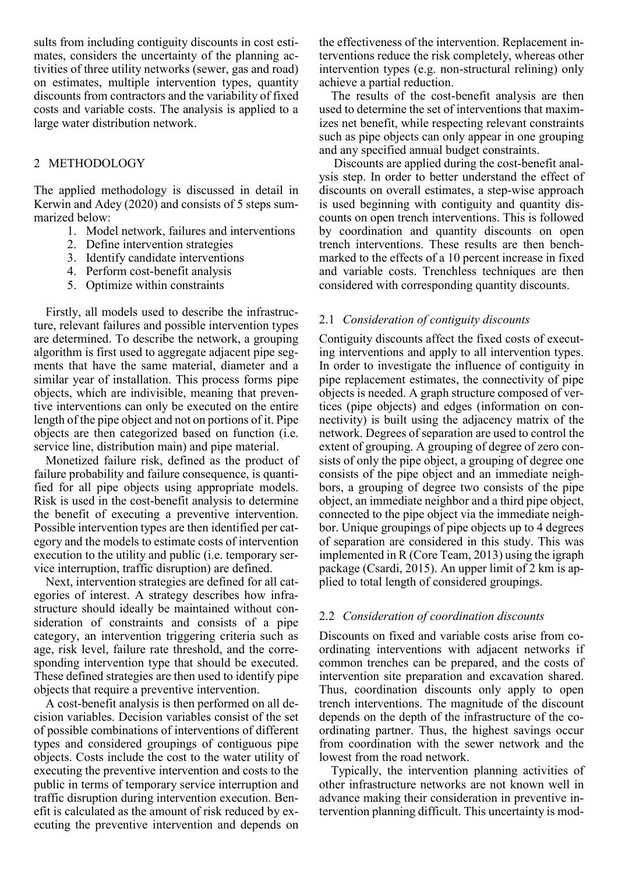sults from including contiguity discounts in cost estimates, considers the uncertainty of the planning activities of three utility networks (sewer, gas and road) on estimates, multiple intervention types, quantity discounts from contractors and the variability of fixed costs and variable costs. The analysis is applied to a large water distribution network.

#### 2 METHODOLOGY

The applied methodology is discussed in detail in Kerwin and Adey (2020) and consists of 5 steps summarized below:

- 1. Model network, failures and interventions
- 2. Define intervention strategies
- 3. Identify candidate interventions
- 4. Perform cost-benefit analysis
- 5. Optimize within constraints

Firstly, all models used to describe the infrastructure, relevant failures and possible intervention types are determined. To describe the network, a grouping algorithm is first used to aggregate adjacent pipe segments that have the same material, diameter and a similar year of installation. This process forms pipe objects, which are indivisible, meaning that preventive interventions can only be executed on the entire length of the pipe object and not on portions of it. Pipe objects are then categorized based on function (i.e. service line, distribution main) and pipe material.

Monetized failure risk, defined as the product of failure probability and failure consequence, is quantified for all pipe objects using appropriate models. Risk is used in the cost-benefit analysis to determine the benefit of executing a preventive intervention. Possible intervention types are then identified per category and the models to estimate costs of intervention execution to the utility and public (i.e. temporary service interruption, traffic disruption) are defined.

Next, intervention strategies are defined for all categories of interest. A strategy describes how infrastructure should ideally be maintained without consideration of constraints and consists of a pipe category, an intervention triggering criteria such as age, risk level, failure rate threshold, and the corresponding intervention type that should be executed. These defined strategies are then used to identify pipe objects that require a preventive intervention.

A cost-benefit analysis is then performed on all decision variables. Decision variables consist of the set of possible combinations of interventions of different types and considered groupings of contiguous pipe objects. Costs include the cost to the water utility of executing the preventive intervention and costs to the public in terms of temporary service interruption and traffic disruption during intervention execution. Benefit is calculated as the amount of risk reduced by executing the preventive intervention and depends on the effectiveness of the intervention. Replacement interventions reduce the risk completely, whereas other intervention types (e.g. non-structural relining) only achieve a partial reduction.

The results of the cost-benefit analysis are then used to determine the set of interventions that maximizes net benefit, while respecting relevant constraints such as pipe objects can only appear in one grouping and any specified annual budget constraints.

Discounts are applied during the cost-benefit analysis step. In order to better understand the effect of discounts on overall estimates, a step-wise approach is used beginning with contiguity and quantity discounts on open trench interventions. This is followed by coordination and quantity discounts on open trench interventions. These results are then benchmarked to the effects of a 10 percent increase in fixed and variable costs. Trenchless techniques are then considered with corresponding quantity discounts.

#### 2.1 *Consideration of contiguity discounts*

Contiguity discounts affect the fixed costs of executing interventions and apply to all intervention types. In order to investigate the influence of contiguity in pipe replacement estimates, the connectivity of pipe objects is needed. A graph structure composed of vertices (pipe objects) and edges (information on connectivity) is built using the adjacency matrix of the network. Degrees of separation are used to control the extent of grouping. A grouping of degree of zero consists of only the pipe object, a grouping of degree one consists of the pipe object and an immediate neighbors, a grouping of degree two consists of the pipe object, an immediate neighbor and a third pipe object, connected to the pipe object via the immediate neighbor. Unique groupings of pipe objects up to 4 degrees of separation are considered in this study. This was implemented in R (Core Team, 2013) using the igraph package (Csardi, 2015). An upper limit of 2 km is applied to total length of considered groupings.

#### 2.2 *Consideration of coordination discounts*

Discounts on fixed and variable costs arise from coordinating interventions with adjacent networks if common trenches can be prepared, and the costs of intervention site preparation and excavation shared. Thus, coordination discounts only apply to open trench interventions. The magnitude of the discount depends on the depth of the infrastructure of the coordinating partner. Thus, the highest savings occur from coordination with the sewer network and the lowest from the road network.

Typically, the intervention planning activities of other infrastructure networks are not known well in advance making their consideration in preventive intervention planning difficult. This uncertainty is mod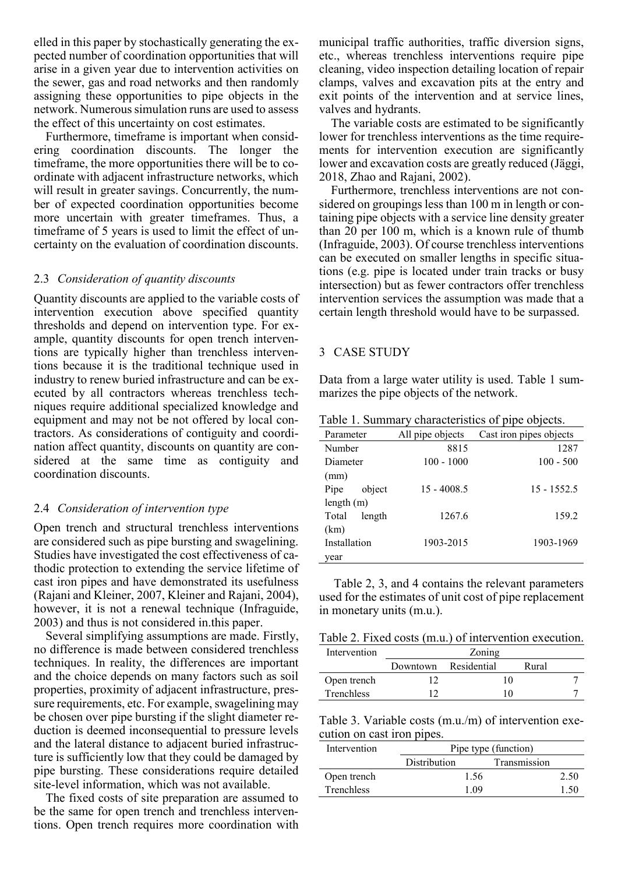elled in this paper by stochastically generating the expected number of coordination opportunities that will arise in a given year due to intervention activities on the sewer, gas and road networks and then randomly assigning these opportunities to pipe objects in the network. Numerous simulation runs are used to assess the effect of this uncertainty on cost estimates.

Furthermore, timeframe is important when considering coordination discounts. The longer the timeframe, the more opportunities there will be to coordinate with adjacent infrastructure networks, which will result in greater savings. Concurrently, the number of expected coordination opportunities become more uncertain with greater timeframes. Thus, a timeframe of 5 years is used to limit the effect of uncertainty on the evaluation of coordination discounts.

#### 2.3 *Consideration of quantity discounts*

Quantity discounts are applied to the variable costs of intervention execution above specified quantity thresholds and depend on intervention type. For example, quantity discounts for open trench interventions are typically higher than trenchless interventions because it is the traditional technique used in industry to renew buried infrastructure and can be executed by all contractors whereas trenchless techniques require additional specialized knowledge and equipment and may not be not offered by local contractors. As considerations of contiguity and coordination affect quantity, discounts on quantity are considered at the same time as contiguity and coordination discounts.

#### 2.4 *Consideration of intervention type*

Open trench and structural trenchless interventions are considered such as pipe bursting and swagelining. Studies have investigated the cost effectiveness of cathodic protection to extending the service lifetime of cast iron pipes and have demonstrated its usefulness (Rajani and Kleiner, 2007, Kleiner and Rajani, 2004), however, it is not a renewal technique (Infraguide, 2003) and thus is not considered in.this paper.

Several simplifying assumptions are made. Firstly, no difference is made between considered trenchless techniques. In reality, the differences are important and the choice depends on many factors such as soil properties, proximity of adjacent infrastructure, pressure requirements, etc. For example, swagelining may be chosen over pipe bursting if the slight diameter reduction is deemed inconsequential to pressure levels and the lateral distance to adjacent buried infrastructure is sufficiently low that they could be damaged by pipe bursting. These considerations require detailed site-level information, which was not available.

The fixed costs of site preparation are assumed to be the same for open trench and trenchless interventions. Open trench requires more coordination with municipal traffic authorities, traffic diversion signs, etc., whereas trenchless interventions require pipe cleaning, video inspection detailing location of repair clamps, valves and excavation pits at the entry and exit points of the intervention and at service lines, valves and hydrants.

The variable costs are estimated to be significantly lower for trenchless interventions as the time requirements for intervention execution are significantly lower and excavation costs are greatly reduced (Jäggi, 2018, Zhao and Rajani, 2002).

Furthermore, trenchless interventions are not considered on groupings less than 100 m in length or containing pipe objects with a service line density greater than 20 per 100 m, which is a known rule of thumb (Infraguide, 2003). Of course trenchless interventions can be executed on smaller lengths in specific situations (e.g. pipe is located under train tracks or busy intersection) but as fewer contractors offer trenchless intervention services the assumption was made that a certain length threshold would have to be surpassed.

#### 3 CASE STUDY

Data from a large water utility is used. Table 1 summarizes the pipe objects of the network.

Table 1. Summary characteristics of pipe objects.

| Parameter       | All pipe objects | Cast iron pipes objects |
|-----------------|------------------|-------------------------|
| Number          | 8815             | 1287                    |
| Diameter        | $100 - 1000$     | $100 - 500$             |
| (mm)            |                  |                         |
| object<br>Pipe  | $15 - 4008.5$    | $15 - 1552.5$           |
| length $(m)$    |                  |                         |
| Total<br>length | 1267.6           | 159.2                   |
| (km)            |                  |                         |
| Installation    | 1903-2015        | 1903-1969               |
| year            |                  |                         |

Table 2, 3, and 4 contains the relevant parameters used for the estimates of unit cost of pipe replacement in monetary units (m.u.).

Table 2. Fixed costs (m.u.) of intervention execution.

| Intervention      | Zoning |                      |       |  |  |  |  |
|-------------------|--------|----------------------|-------|--|--|--|--|
|                   |        | Downtown Residential | Rural |  |  |  |  |
| Open trench       |        |                      |       |  |  |  |  |
| <b>Trenchless</b> |        |                      |       |  |  |  |  |

Table 3. Variable costs (m.u./m) of intervention execution on cast iron pipes.

| Intervention      | Pipe type (function) |              |      |  |  |
|-------------------|----------------------|--------------|------|--|--|
|                   | <b>Distribution</b>  | Transmission |      |  |  |
| Open trench       | 1.56                 |              | 2.50 |  |  |
| <b>Trenchless</b> | 1 09                 |              | 1.50 |  |  |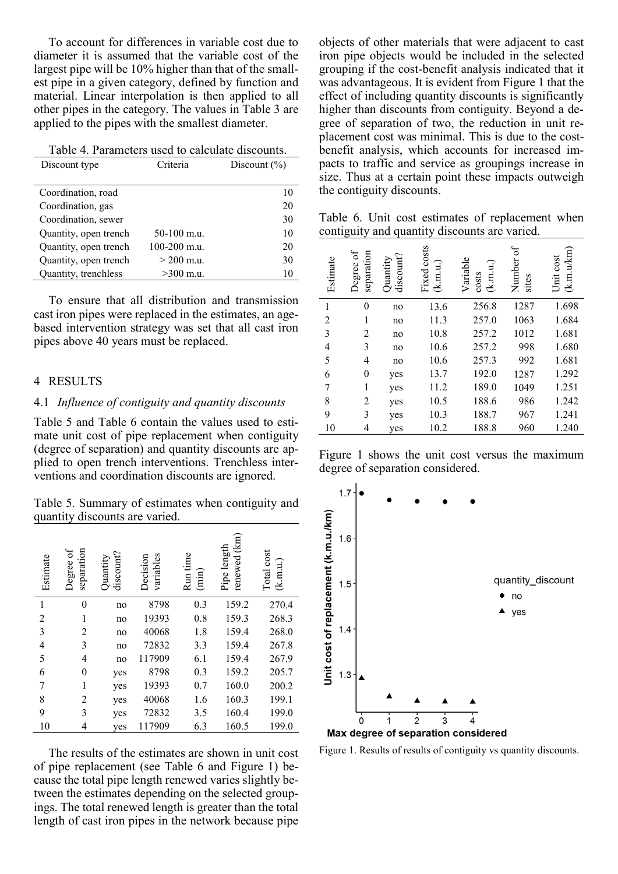To account for differences in variable cost due to diameter it is assumed that the variable cost of the largest pipe will be 10% higher than that of the smallest pipe in a given category, defined by function and material. Linear interpolation is then applied to all other pipes in the category. The values in Table 3 are applied to the pipes with the smallest diameter.

|  | Table 4. Parameters used to calculate discounts. |
|--|--------------------------------------------------|
|--|--------------------------------------------------|

| Discount type         | Criteria         | Discount $(\% )$ |
|-----------------------|------------------|------------------|
|                       |                  |                  |
| Coordination, road    |                  | 10               |
| Coordination, gas     |                  | 20               |
| Coordination, sewer   |                  | 30               |
| Quantity, open trench | $50-100$ m.u.    | 10               |
| Quantity, open trench | $100 - 200$ m.u. | 20               |
| Quantity, open trench | $>$ 200 m.u.     | 30               |
| Quantity, trenchless  | $>300$ m.u.      | 10               |

To ensure that all distribution and transmission cast iron pipes were replaced in the estimates, an agebased intervention strategy was set that all cast iron pipes above 40 years must be replaced.

#### 4 RESULTS

#### 4.1 *Influence of contiguity and quantity discounts*

Table 5 and Table 6 contain the values used to estimate unit cost of pipe replacement when contiguity (degree of separation) and quantity discounts are applied to open trench interventions. Trenchless interventions and coordination discounts are ignored.

Table 5. Summary of estimates when contiguity and quantity discounts are varied.

| Estimate                 | Degree of<br>separation | discount?<br>Quantity | variables<br>Decision | Run time<br>$(\min)$ | $\overline{\text{km}}$<br>Pipe length<br>renewed | Total cost<br>(k.m.u.) |
|--------------------------|-------------------------|-----------------------|-----------------------|----------------------|--------------------------------------------------|------------------------|
| $\mathbf{1}$             | $\theta$                | no                    | 8798                  | 0.3                  | 159.2                                            | 270.4                  |
| $\overline{c}$           | 1                       | no                    | 19393                 | 0.8                  | 159.3                                            | 268.3                  |
| 3                        | 2                       | no                    | 40068                 | 1.8                  | 159.4                                            | 268.0                  |
| $\overline{\mathcal{L}}$ | 3                       | no                    | 72832                 | 3.3                  | 159.4                                            | 267.8                  |
| 5                        | $\overline{4}$          | no                    | 117909                | 6.1                  | 159.4                                            | 267.9                  |
| 6                        | $\theta$                | yes                   | 8798                  | 0.3                  | 159.2                                            | 205.7                  |
| 7                        | 1                       | yes                   | 19393                 | 0.7                  | 160.0                                            | 200.2                  |
| 8                        | 2                       | yes                   | 40068                 | 1.6                  | 160.3                                            | 199.1                  |
| 9                        | 3                       | yes                   | 72832                 | 3.5                  | 160.4                                            | 199.0                  |
| 10                       | 4                       | yes                   | 117909                | 6.3                  | 160.5                                            | 199.0                  |

The results of the estimates are shown in unit cost of pipe replacement (see Table 6 and Figure 1) because the total pipe length renewed varies slightly between the estimates depending on the selected groupings. The total renewed length is greater than the total length of cast iron pipes in the network because pipe

objects of other materials that were adjacent to cast iron pipe objects would be included in the selected grouping if the cost-benefit analysis indicated that it was advantageous. It is evident from Figure 1 that the effect of including quantity discounts is significantly higher than discounts from contiguity. Beyond a degree of separation of two, the reduction in unit replacement cost was minimal. This is due to the costbenefit analysis, which accounts for increased impacts to traffic and service as groupings increase in size. Thus at a certain point these impacts outweigh the contiguity discounts.

Table 6. Unit cost estimates of replacement when contiguity and quantity discounts are varied.

| Estimate       | Degree of<br>separation | discount?<br>Quantity | Fixed costs<br>(k.m.u.) | Variable<br>(k.m.u.)<br>costs | $\sigma$<br>Number<br>sites | (k.m.u/cm)<br>Unit cost |
|----------------|-------------------------|-----------------------|-------------------------|-------------------------------|-----------------------------|-------------------------|
| $\mathbf{1}$   | $\Omega$                | no                    | 13.6                    | 256.8                         | 1287                        | 1.698                   |
| $\overline{2}$ | 1                       | no                    | 11.3                    | 257.0                         | 1063                        | 1.684                   |
| 3              | 2                       | no                    | 10.8                    | 257.2                         | 1012                        | 1.681                   |
| 4              | 3                       | no                    | 10.6                    | 257.2                         | 998                         | 1.680                   |
| 5              | 4                       | no                    | 10.6                    | 257.3                         | 992                         | 1.681                   |
| 6              | $\boldsymbol{0}$        | yes                   | 13.7                    | 192.0                         | 1287                        | 1.292                   |
| 7              | 1                       | yes                   | 11.2                    | 189.0                         | 1049                        | 1.251                   |
| 8              | 2                       | yes                   | 10.5                    | 188.6                         | 986                         | 1.242                   |
| 9              | 3                       | yes                   | 10.3                    | 188.7                         | 967                         | 1.241                   |
| 10             | 4                       | yes                   | 10.2                    | 188.8                         | 960                         | 1.240                   |

Figure 1 shows the unit cost versus the maximum degree of separation considered.



Figure 1. Results of results of contiguity vs quantity discounts.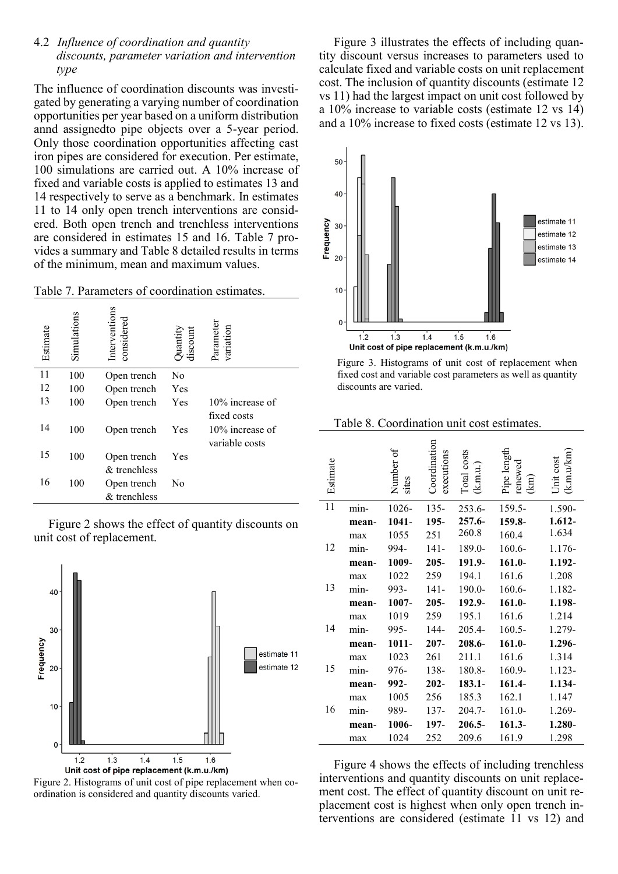#### 4.2 *Influence of coordination and quantity discounts, parameter variation and intervention type*

The influence of coordination discounts was investigated by generating a varying number of coordination opportunities per year based on a uniform distribution annd assignedto pipe objects over a 5-year period. Only those coordination opportunities affecting cast iron pipes are considered for execution. Per estimate, 100 simulations are carried out. A 10% increase of fixed and variable costs is applied to estimates 13 and 14 respectively to serve as a benchmark. In estimates 11 to 14 only open trench interventions are considered. Both open trench and trenchless interventions are considered in estimates 15 and 16. Table 7 provides a summary and Table 8 detailed results in terms of the minimum, mean and maximum values.

Table 7. Parameters of coordination estimates.

| Estimate | Simulations | Interventions<br>considered | Quantity<br>discount | Parameter<br>variation                           |
|----------|-------------|-----------------------------|----------------------|--------------------------------------------------|
| 11       | 100         | Open trench                 | No                   |                                                  |
| 12       | 100         | Open trench                 | Yes                  |                                                  |
| 13       | 100         | Open trench                 | Yes                  | 10% increase of                                  |
| 14       | 100         | Open trench                 | Yes                  | fixed costs<br>10% increase of<br>variable costs |
| 15       | 100         | Open trench                 | Yes                  |                                                  |
| 16       | 100         | & trenchless<br>Open trench | No                   |                                                  |
|          |             | & trenchless                |                      |                                                  |

Figure 2 shows the effect of quantity discounts on unit cost of replacement.



Figure 2. Histograms of unit cost of pipe replacement when coordination is considered and quantity discounts varied.

Figure 3 illustrates the effects of including quantity discount versus increases to parameters used to calculate fixed and variable costs on unit replacement cost. The inclusion of quantity discounts (estimate 12 vs 11) had the largest impact on unit cost followed by a 10% increase to variable costs (estimate 12 vs 14) and a 10% increase to fixed costs (estimate 12 vs 13).



Figure 3. Histograms of unit cost of replacement when fixed cost and variable cost parameters as well as quantity discounts are varied.

Table 8. Coordination unit cost estimates.

| Estimate |       | Number of<br>sites | Coordination<br>executions | Total costs<br>(k.m.u.) | Pipe length<br>renewed<br>$\widehat{\Xi}$ | k.m.u/km<br>Jnit cost |
|----------|-------|--------------------|----------------------------|-------------------------|-------------------------------------------|-----------------------|
| 11       | min-  | 1026-              | $135 -$                    | $253.6 -$               | 159.5-                                    | 1.590-                |
|          | mean- | 1041-              | 195-                       | 257.6-                  | 159.8-                                    | 1.612-                |
|          | max   | 1055               | 251                        | 260.8                   | 160.4                                     | 1.634                 |
| 12       | min-  | 994-               | $141 -$                    | 189.0-                  | $160.6 -$                                 | 1.176-                |
|          | mean- | 1009-              | $205 -$                    | 191.9-                  | $161.0 -$                                 | 1.192-                |
|          | max   | 1022               | 259                        | 194.1                   | 161.6                                     | 1.208                 |
| 13       | min-  | 993-               | $141 -$                    | 190.0-                  | 160.6-                                    | 1.182-                |
|          | mean- | 1007-              | $205 -$                    | 192.9-                  | $161.0 -$                                 | 1.198-                |
|          | max   | 1019               | 259                        | 195.1                   | 161.6                                     | 1.214                 |
| 14       | min-  | 995-               | 144-                       | 205.4-                  | $160.5 -$                                 | 1.279-                |
|          | mean- | $1011 -$           | $207 -$                    | 208.6-                  | $161.0 -$                                 | 1.296-                |
|          | max   | 1023               | 261                        | 211.1                   | 161.6                                     | 1.314                 |
| 15       | min-  | 976-               | 138-                       | 180.8-                  | 160.9-                                    | 1.123-                |
|          | mean- | 992-               | $202 -$                    | $183.1 -$               | 161.4-                                    | 1.134-                |
|          | max   | 1005               | 256                        | 185.3                   | 162.1                                     | 1.147                 |
| 16       | min-  | 989-               | 137-                       | 204.7-                  | $161.0-$                                  | 1.269-                |
|          | mean- | 1006-              | 197-                       | 206.5-                  | $161.3 -$                                 | 1.280-                |
|          | max   | 1024               | 252                        | 209.6                   | 161.9                                     | 1.298                 |

Figure 4 shows the effects of including trenchless interventions and quantity discounts on unit replacement cost. The effect of quantity discount on unit replacement cost is highest when only open trench interventions are considered (estimate 11 vs 12) and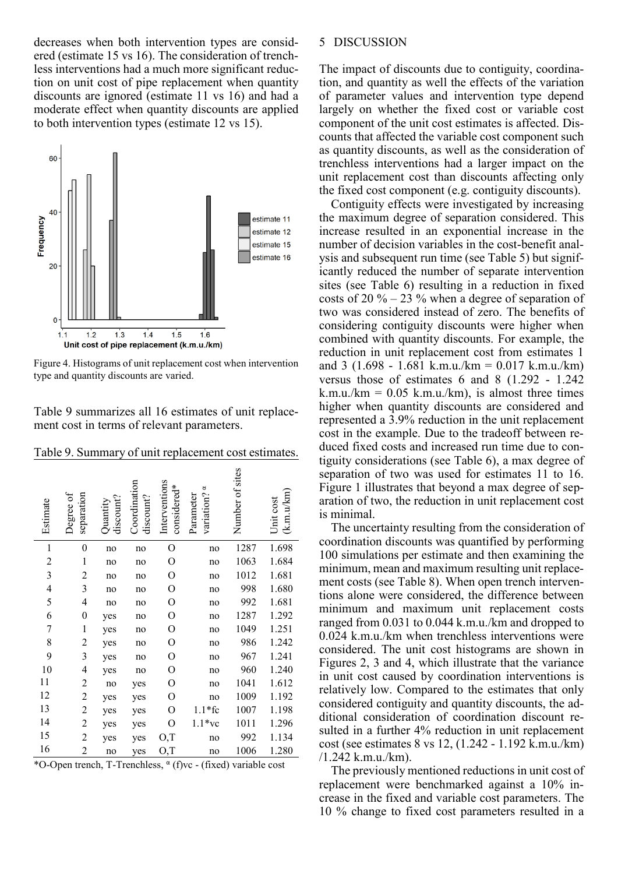decreases when both intervention types are considered (estimate 15 vs 16). The consideration of trenchless interventions had a much more significant reduction on unit cost of pipe replacement when quantity discounts are ignored (estimate 11 vs 16) and had a moderate effect when quantity discounts are applied to both intervention types (estimate 12 vs 15).



Figure 4. Histograms of unit replacement cost when intervention type and quantity discounts are varied.

Table 9 summarizes all 16 estimates of unit replacement cost in terms of relevant parameters.

| Estimate | Degree of<br>separation | discount?<br>$\lambda$ uanti | Coordination<br>discount? | Interventions<br>considered* | variation? <sup>a</sup><br>Parameter | Number of sites | (k.m.u/km)<br>Jnit cost |
|----------|-------------------------|------------------------------|---------------------------|------------------------------|--------------------------------------|-----------------|-------------------------|
| 1        | $\boldsymbol{0}$        | no                           | no                        | O                            | no                                   | 1287            | 1.698                   |
| 2        | 1                       | no                           | no                        | О                            | no                                   | 1063            | 1.684                   |
| 3        | 2                       | no                           | no                        | O                            | no                                   | 1012            | 1.681                   |
| 4        | 3                       | no                           | no                        | О                            | no                                   | 998             | 1.680                   |
| 5        | 4                       | no                           | no                        | O                            | no                                   | 992             | 1.681                   |
| 6        | 0                       | yes                          | no                        | О                            | no                                   | 1287            | 1.292                   |
| 7        | 1                       | yes                          | no                        | О                            | no                                   | 1049            | 1.251                   |
| 8        | $\overline{c}$          | yes                          | no                        | О                            | no                                   | 986             | 1.242                   |
| 9        | 3                       | yes                          | no                        | O                            | no                                   | 967             | 1.241                   |
| 10       | 4                       | yes                          | no                        | О                            | no                                   | 960             | 1.240                   |
| 11       | 2                       | no                           | yes                       | О                            | no                                   | 1041            | 1.612                   |
| 12       | $\overline{c}$          | yes                          | yes                       | O                            | no                                   | 1009            | 1.192                   |
| 13       | $\overline{c}$          | yes                          | yes                       | O                            | $1.1*$ fc                            | 1007            | 1.198                   |
| 14       | 2                       | yes                          | yes                       | O                            | $1.1*$ vc                            | 1011            | 1.296                   |
| 15       | $\overline{c}$          | yes                          | yes                       | O,T                          | no                                   | 992             | 1.134                   |
| 16       | $\overline{c}$          | no                           | yes                       | O,T                          | no                                   | 1006            | 1.280                   |

\*O-Open trench, T-Trenchless, α (f)vc - (fixed) variable cost

#### 5 DISCUSSION

The impact of discounts due to contiguity, coordination, and quantity as well the effects of the variation of parameter values and intervention type depend largely on whether the fixed cost or variable cost component of the unit cost estimates is affected. Discounts that affected the variable cost component such as quantity discounts, as well as the consideration of trenchless interventions had a larger impact on the unit replacement cost than discounts affecting only the fixed cost component (e.g. contiguity discounts).

Contiguity effects were investigated by increasing the maximum degree of separation considered. This increase resulted in an exponential increase in the number of decision variables in the cost-benefit analysis and subsequent run time (see Table 5) but significantly reduced the number of separate intervention sites (see Table 6) resulting in a reduction in fixed costs of 20  $\%$  – 23  $\%$  when a degree of separation of two was considered instead of zero. The benefits of considering contiguity discounts were higher when combined with quantity discounts. For example, the reduction in unit replacement cost from estimates 1 and 3 (1.698 - 1.681 k.m.u./km =  $0.017$  k.m.u./km) versus those of estimates 6 and 8 (1.292 - 1.242 k.m.u./km =  $0.05$  k.m.u./km), is almost three times higher when quantity discounts are considered and represented a 3.9% reduction in the unit replacement cost in the example. Due to the tradeoff between reduced fixed costs and increased run time due to contiguity considerations (see Table 6), a max degree of separation of two was used for estimates 11 to 16. Figure 1 illustrates that beyond a max degree of separation of two, the reduction in unit replacement cost is minimal.

The uncertainty resulting from the consideration of coordination discounts was quantified by performing 100 simulations per estimate and then examining the minimum, mean and maximum resulting unit replacement costs (see Table 8). When open trench interventions alone were considered, the difference between minimum and maximum unit replacement costs ranged from 0.031 to 0.044 k.m.u./km and dropped to 0.024 k.m.u./km when trenchless interventions were considered. The unit cost histograms are shown in Figures 2, 3 and 4, which illustrate that the variance in unit cost caused by coordination interventions is relatively low. Compared to the estimates that only considered contiguity and quantity discounts, the additional consideration of coordination discount resulted in a further 4% reduction in unit replacement cost (see estimates 8 vs 12, (1.242 - 1.192 k.m.u./km) /1.242 k.m.u./km).

The previously mentioned reductions in unit cost of replacement were benchmarked against a 10% increase in the fixed and variable cost parameters. The 10 % change to fixed cost parameters resulted in a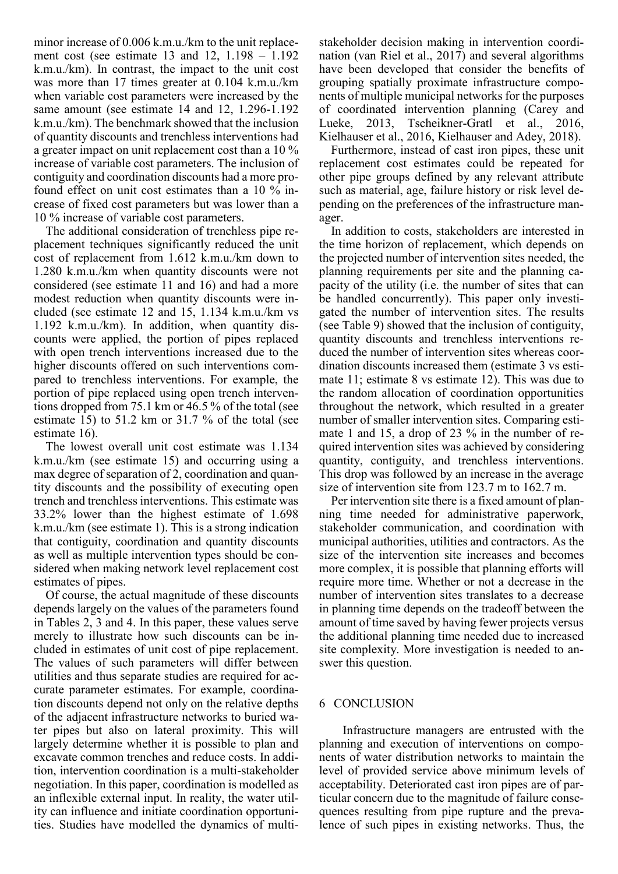minor increase of 0.006 k.m.u./km to the unit replacement cost (see estimate 13 and 12, 1.198 – 1.192 k.m.u./km). In contrast, the impact to the unit cost was more than 17 times greater at 0.104 k.m.u./km when variable cost parameters were increased by the same amount (see estimate 14 and 12, 1.296-1.192 k.m.u./km). The benchmark showed that the inclusion of quantity discounts and trenchless interventions had a greater impact on unit replacement cost than a 10 % increase of variable cost parameters. The inclusion of contiguity and coordination discounts had a more profound effect on unit cost estimates than a 10 % increase of fixed cost parameters but was lower than a 10 % increase of variable cost parameters.

The additional consideration of trenchless pipe replacement techniques significantly reduced the unit cost of replacement from 1.612 k.m.u./km down to 1.280 k.m.u./km when quantity discounts were not considered (see estimate 11 and 16) and had a more modest reduction when quantity discounts were included (see estimate 12 and 15, 1.134 k.m.u./km vs 1.192 k.m.u./km). In addition, when quantity discounts were applied, the portion of pipes replaced with open trench interventions increased due to the higher discounts offered on such interventions compared to trenchless interventions. For example, the portion of pipe replaced using open trench interventions dropped from 75.1 km or 46.5 % of the total (see estimate 15) to 51.2 km or 31.7 % of the total (see estimate 16).

The lowest overall unit cost estimate was 1.134 k.m.u./km (see estimate 15) and occurring using a max degree of separation of 2, coordination and quantity discounts and the possibility of executing open trench and trenchless interventions. This estimate was 33.2% lower than the highest estimate of 1.698 k.m.u./km (see estimate 1). This is a strong indication that contiguity, coordination and quantity discounts as well as multiple intervention types should be considered when making network level replacement cost estimates of pipes.

Of course, the actual magnitude of these discounts depends largely on the values of the parameters found in Tables 2, 3 and 4. In this paper, these values serve merely to illustrate how such discounts can be included in estimates of unit cost of pipe replacement. The values of such parameters will differ between utilities and thus separate studies are required for accurate parameter estimates. For example, coordination discounts depend not only on the relative depths of the adjacent infrastructure networks to buried water pipes but also on lateral proximity. This will largely determine whether it is possible to plan and excavate common trenches and reduce costs. In addition, intervention coordination is a multi-stakeholder negotiation. In this paper, coordination is modelled as an inflexible external input. In reality, the water utility can influence and initiate coordination opportunities. Studies have modelled the dynamics of multi-

stakeholder decision making in intervention coordination (van Riel et al., 2017) and several algorithms have been developed that consider the benefits of grouping spatially proximate infrastructure components of multiple municipal networks for the purposes of coordinated intervention planning (Carey and Lueke, 2013, Tscheikner-Gratl et al., 2016, Kielhauser et al., 2016, Kielhauser and Adey, 2018).

Furthermore, instead of cast iron pipes, these unit replacement cost estimates could be repeated for other pipe groups defined by any relevant attribute such as material, age, failure history or risk level depending on the preferences of the infrastructure manager.

In addition to costs, stakeholders are interested in the time horizon of replacement, which depends on the projected number of intervention sites needed, the planning requirements per site and the planning capacity of the utility (i.e. the number of sites that can be handled concurrently). This paper only investigated the number of intervention sites. The results (see Table 9) showed that the inclusion of contiguity, quantity discounts and trenchless interventions reduced the number of intervention sites whereas coordination discounts increased them (estimate 3 vs estimate 11; estimate 8 vs estimate 12). This was due to the random allocation of coordination opportunities throughout the network, which resulted in a greater number of smaller intervention sites. Comparing estimate 1 and 15, a drop of 23 % in the number of required intervention sites was achieved by considering quantity, contiguity, and trenchless interventions. This drop was followed by an increase in the average size of intervention site from 123.7 m to 162.7 m.

Per intervention site there is a fixed amount of planning time needed for administrative paperwork, stakeholder communication, and coordination with municipal authorities, utilities and contractors. As the size of the intervention site increases and becomes more complex, it is possible that planning efforts will require more time. Whether or not a decrease in the number of intervention sites translates to a decrease in planning time depends on the tradeoff between the amount of time saved by having fewer projects versus the additional planning time needed due to increased site complexity. More investigation is needed to answer this question.

#### 6 CONCLUSION

Infrastructure managers are entrusted with the planning and execution of interventions on components of water distribution networks to maintain the level of provided service above minimum levels of acceptability. Deteriorated cast iron pipes are of particular concern due to the magnitude of failure consequences resulting from pipe rupture and the prevalence of such pipes in existing networks. Thus, the